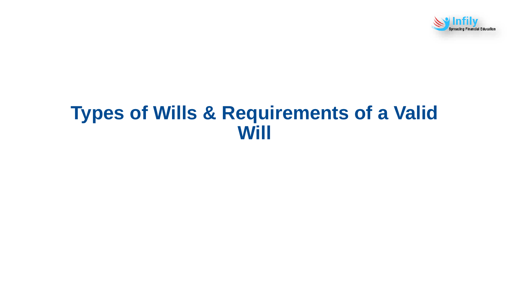

#### **Types of Wills & Requirements of a Valid Will**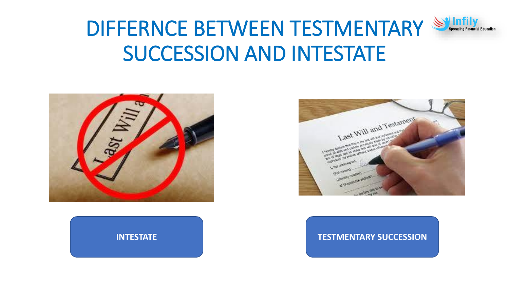#### DIFFERNCE BETWEEN TESTMENTARY **Spreading Financial Education** SUCCESSION AND INTESTATE







#### **INTESTATE TESTMENTARY SUCCESSION**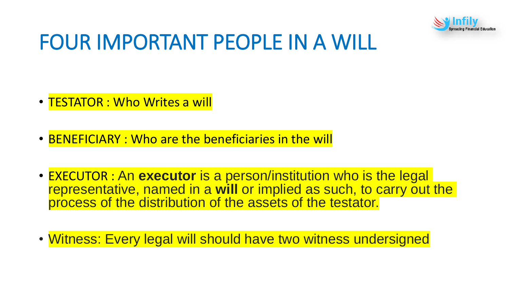

### FOUR IMPORTANT PEOPLE IN A WILL

- TESTATOR : Who Writes a will
- BENEFICIARY : Who are the beneficiaries in the will
- EXECUTOR : An **executor** is a person/institution who is the legal representative, named in a **will** or implied as such, to carry out the process of the distribution of the assets of the testator.
- Witness: Every legal will should have two witness undersigned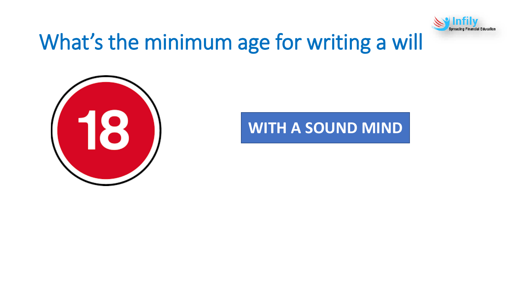

#### What's the minimum age for writing a will



#### **WITH A SOUND MIND**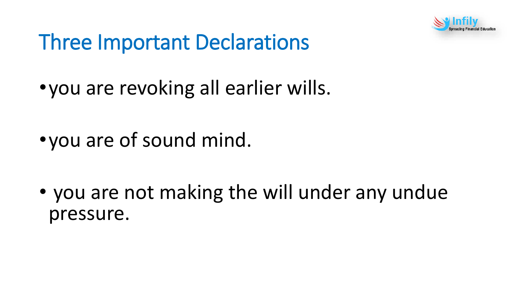

### Three Important Declarations

•you are revoking all earlier wills.

•you are of sound mind.

• you are not making the will under any undue pressure.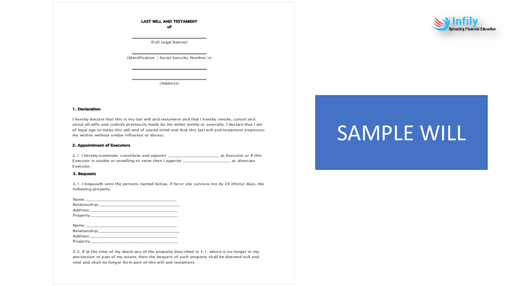**LAST WILL AND TESTAMENT** of

(Full Legal Names)

(Identification / Social Security Number/s)

(Address)

#### 1. Declaration

I hereby declare that this is my last will and testament and that I hereby revoke, cancel and annul all wills and codicils previously made by me either jointly or severally. I declare that I am of legal age to make this will and of sound mind and that this last will and testament expresses my wishes without undue influence or duress.

#### 2. Appointment of Executors

Executor.

#### 3. Bequests

3.1.1 bequeath unto the persons named below, if he or she survives me by 30 (thirty) days, the following property:

| Address:  |
|-----------|
| Property: |

3.2. If at the time of my death any of the property described in 3.1. above is no longer in my possession or part of my estate, then the bequest of such property shall be deemed null and void and shall no longer form part of this will and testament.

## SAMPLE WILL

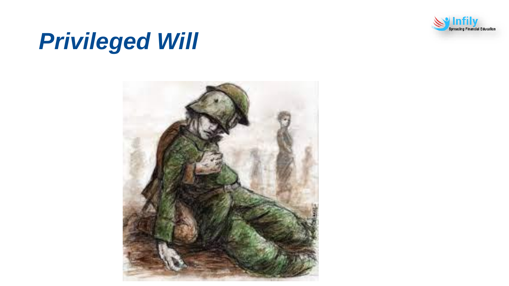

# *Privileged Will*

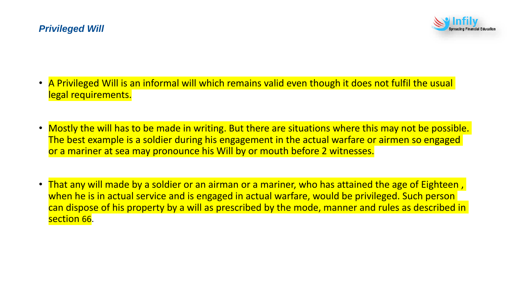

- A Privileged Will is an informal will which remains valid even though it does not fulfil the usual legal requirements.
- Mostly the will has to be made in writing. But there are situations where this may not be possible. The best example is a soldier during his engagement in the actual warfare or airmen so engaged or a mariner at sea may pronounce his Will by or mouth before 2 witnesses.
- That any will made by a soldier or an airman or a mariner, who has attained the age of Eighteen, when he is in actual service and is engaged in actual warfare, would be privileged. Such person can dispose of his property by a will as prescribed by the mode, manner and rules as described in section 66.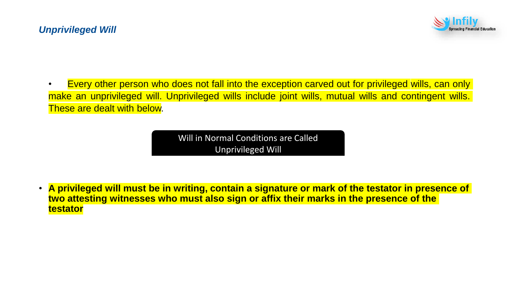

• Every other person who does not fall into the exception carved out for privileged wills, can only make an unprivileged will. Unprivileged wills include joint wills, mutual wills and contingent wills. These are dealt with below.

> Will in Normal Conditions are Called Unprivileged Will

• **A privileged will must be in writing, contain a signature or mark of the testator in presence of two attesting witnesses who must also sign or affix their marks in the presence of the testator**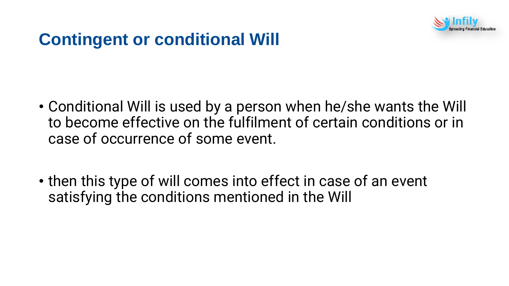

#### **Contingent or conditional Will**

- Conditional Will is used by a person when he/she wants the Will to become effective on the fulfilment of certain conditions or in case of occurrence of some event.
- then this type of will comes into effect in case of an event satisfying the conditions mentioned in the Will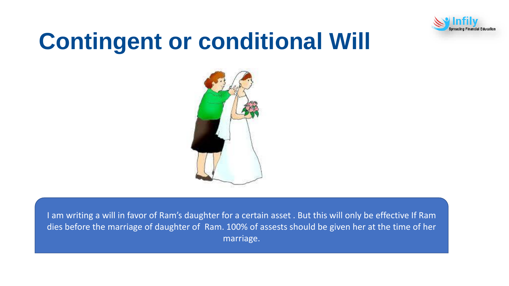

# **Contingent or conditional Will**



I am writing a will in favor of Ram's daughter for a certain asset . But this will only be effective If Ram dies before the marriage of daughter of Ram. 100% of assests should be given her at the time of her marriage.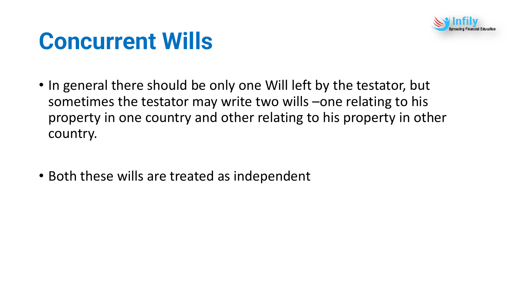

## **Concurrent Wills**

- In general there should be only one Will left by the testator, but sometimes the testator may write two wills –one relating to his property in one country and other relating to his property in other country.
- Both these wills are treated as independent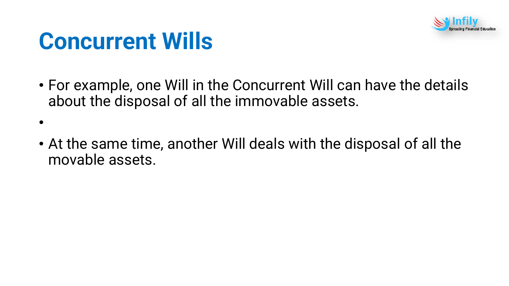

## **Concurrent Wills**

•

- For example, one Will in the Concurrent Will can have the details about the disposal of all the immovable assets.
- At the same time, another Will deals with the disposal of all the movable assets.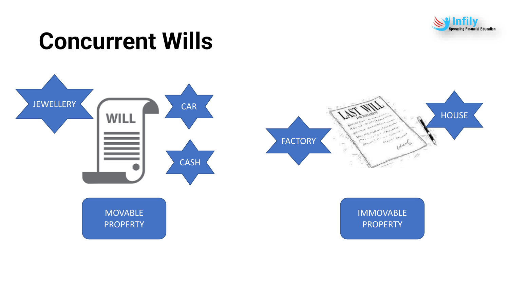

## **Concurrent Wills**





IMMOVABLE PROPERTY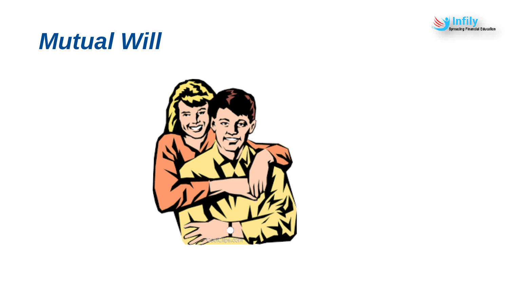

## *Mutual Will*

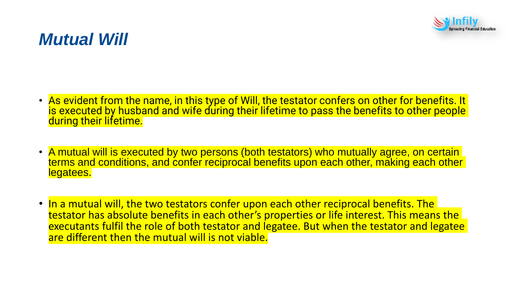

#### *Mutual Will*

- As evident from the name, in this type of Will, the testator confers on other for benefits. It is executed by husband and wife during their lifetime to pass the benefits to other people during their lifetime.
- A mutual will is executed by two persons (both testators) who mutually agree, on certain terms and conditions, and confer reciprocal benefits upon each other, making each other legatees.
- In a mutual will, the two testators confer upon each other reciprocal benefits. The testator has absolute benefits in each other's properties or life interest. This means the executants fulfil the role of both testator and legatee. But when the testator and legatee are different then the mutual will is not viable.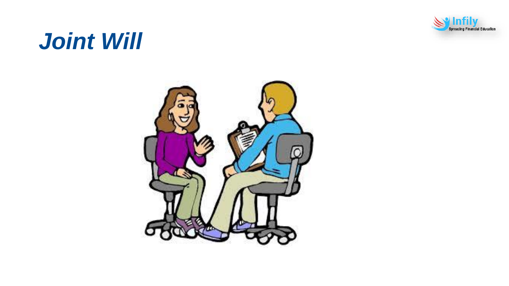

## *Joint Will*

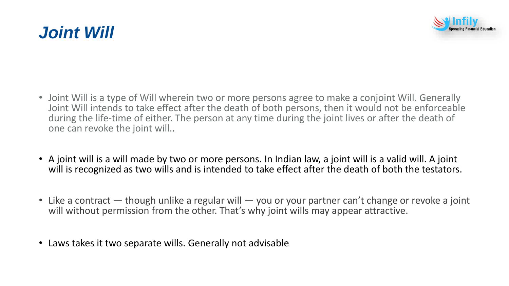



- Joint Will is a type of Will wherein two or more persons agree to make a conjoint Will. Generally Joint Will intends to take effect after the death of both persons, then it would not be enforceable during the life-time of either. The person at any time during the joint lives or after the death of one can revoke the joint will..
- A joint will is a will made by two or more persons. In Indian law, a joint will is a valid will. A joint will is recognized as two wills and is intended to take effect after the death of both the testators.
- Like a contract though unlike a regular will you or your partner can't change or revoke a joint will without permission from the other. That's why joint wills may appear attractive.
- Laws takes it two separate wills. Generally not advisable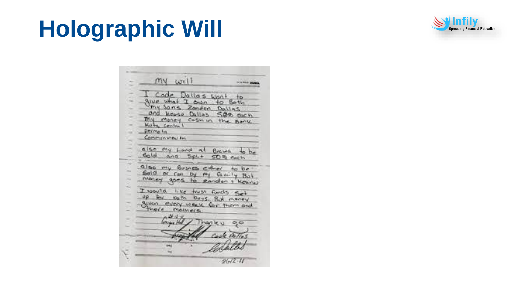# **Holographic Will**



my will **INTERNATIONAL** I Code Dallas World to my sons Zondon Dallas and kesse Dallas 50% each Bly Money cash in the Bank Katha Central Derma In Commissionship also my Lond at Brava to be Sold and Spht SOM extr also my founds either to be Said or ran by my family But money goes to earder & kome I would like two functs such for vota boys. But money up given every weak for them and  $-26.2 - 10$ Thanks **CONGE**  $0,0$ Case Collas  $2612 - 11$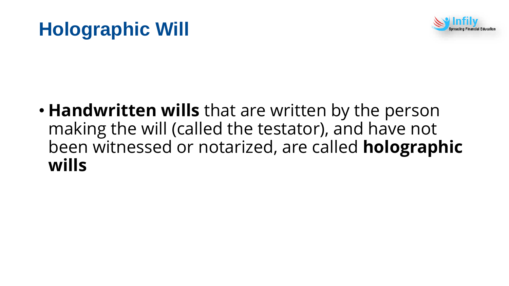#### **Holographic Will**



• **Handwritten wills** that are written by the person making the will (called the testator), and have not been witnessed or notarized, are called **holographic wills**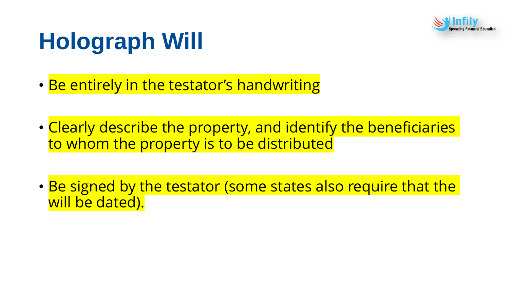

# **Holograph Will**

- Be entirely in the testator's handwriting
- Clearly describe the property, and identify the beneficiaries to whom the property is to be distributed
- Be signed by the testator (some states also require that the will be dated).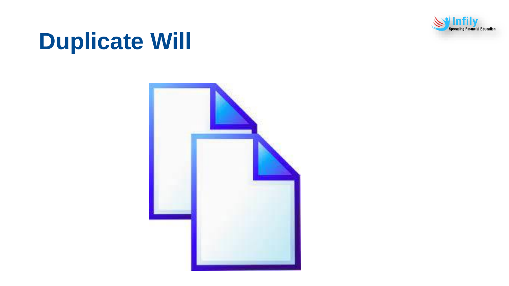

# **Duplicate Will**

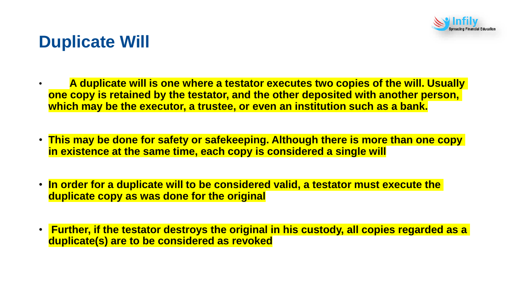

#### **Duplicate Will**

• **A duplicate will is one where a testator executes two copies of the will. Usually one copy is retained by the testator, and the other deposited with another person, which may be the executor, a trustee, or even an institution such as a bank.**

- **This may be done for safety or safekeeping. Although there is more than one copy in existence at the same time, each copy is considered a single will**
- **In order for a duplicate will to be considered valid, a testator must execute the duplicate copy as was done for the original**
- **Further, if the testator destroys the original in his custody, all copies regarded as a duplicate(s) are to be considered as revoked**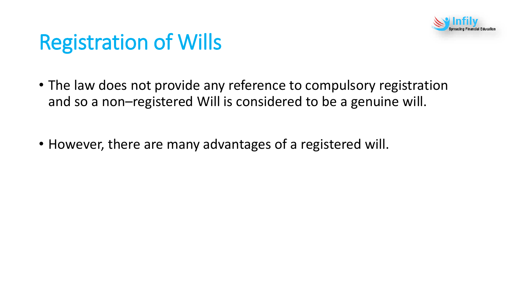

#### Registration of Wills

- The law does not provide any reference to compulsory registration and so a non–registered Will is considered to be a genuine will.
- However, there are many advantages of a registered will.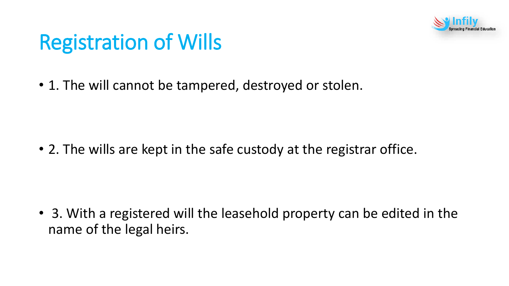

### Registration of Wills

• 1. The will cannot be tampered, destroyed or stolen.

• 2. The wills are kept in the safe custody at the registrar office.

• 3. With a registered will the leasehold property can be edited in the name of the legal heirs.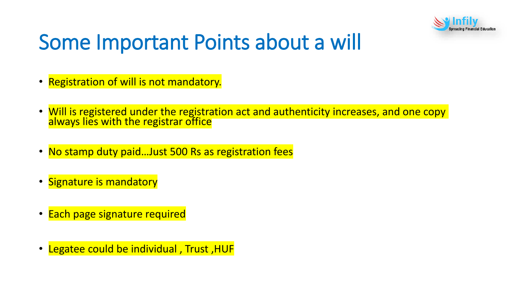

## Some Important Points about a will

- Registration of will is not mandatory.
- Will is registered under the registration act and authenticity increases, and one copy always lies with the registrar office
- No stamp duty paid...Just 500 Rs as registration fees
- Signature is mandatory
- Each page signature required
- Legatee could be individual , Trust ,HUF